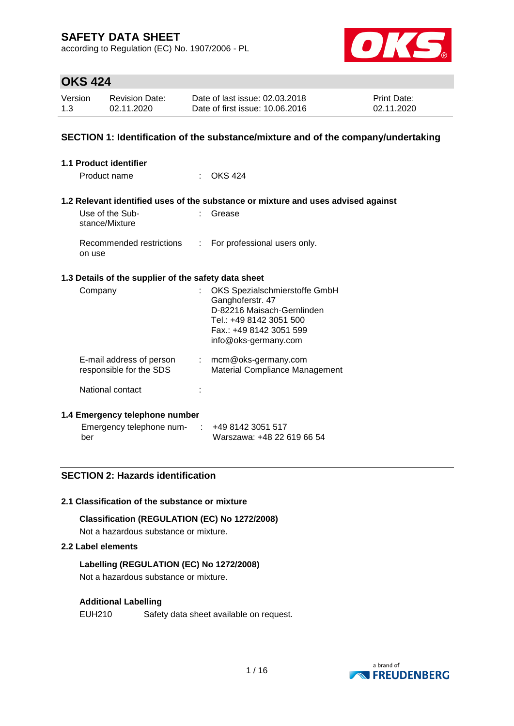according to Regulation (EC) No. 1907/2006 - PL



### **OKS 424**

| Version | <b>Revision Date:</b> | Date of last issue: 02.03.2018  | <b>Print Date:</b> |
|---------|-----------------------|---------------------------------|--------------------|
| 1.3     | 02.11.2020            | Date of first issue: 10.06.2016 | 02.11.2020         |

### **SECTION 1: Identification of the substance/mixture and of the company/undertaking**

| 1.1 Product identifier                                                                    |                                                                                                                                                               |
|-------------------------------------------------------------------------------------------|---------------------------------------------------------------------------------------------------------------------------------------------------------------|
| Product name                                                                              | $\therefore$ OKS 424                                                                                                                                          |
|                                                                                           | 1.2 Relevant identified uses of the substance or mixture and uses advised against                                                                             |
| Use of the Sub-<br>stance/Mixture                                                         | Grease                                                                                                                                                        |
| Recommended restrictions<br>on use                                                        | : For professional users only.                                                                                                                                |
| 1.3 Details of the supplier of the safety data sheet                                      |                                                                                                                                                               |
| Company                                                                                   | OKS Spezialschmierstoffe GmbH<br>Ganghoferstr. 47<br>D-82216 Maisach-Gernlinden<br>Tel.: +49 8142 3051 500<br>Fax.: +49 8142 3051 599<br>info@oks-germany.com |
| E-mail address of person<br>responsible for the SDS                                       | $:$ mcm@oks-germany.com<br>Material Compliance Management                                                                                                     |
| National contact                                                                          |                                                                                                                                                               |
| 1.4 Emergency telephone number<br>Emergency telephone num- $\therefore$ +49 8142 3051 517 |                                                                                                                                                               |
|                                                                                           |                                                                                                                                                               |

# **2.1 Classification of the substance or mixture**

**SECTION 2: Hazards identification**

**Classification (REGULATION (EC) No 1272/2008)** Not a hazardous substance or mixture.

#### **2.2 Label elements**

ber

### **Labelling (REGULATION (EC) No 1272/2008)**

Not a hazardous substance or mixture.

### **Additional Labelling**

EUH210 Safety data sheet available on request.



Warszawa: +48 22 619 66 54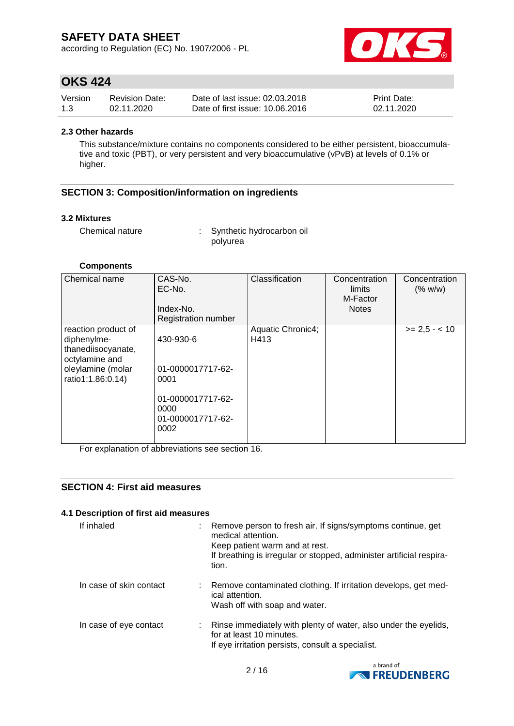according to Regulation (EC) No. 1907/2006 - PL



# **OKS 424**

| Version | <b>Revision Date:</b> | Date of last issue: 02.03.2018  | <b>Print Date:</b> |
|---------|-----------------------|---------------------------------|--------------------|
| 1.3     | 02.11.2020            | Date of first issue: 10.06.2016 | 02.11.2020         |

#### **2.3 Other hazards**

This substance/mixture contains no components considered to be either persistent, bioaccumulative and toxic (PBT), or very persistent and very bioaccumulative (vPvB) at levels of 0.1% or higher.

### **SECTION 3: Composition/information on ingredients**

#### **3.2 Mixtures**

Chemical nature : Synthetic hydrocarbon oil polyurea

#### **Components**

| Chemical name                                                                                                        | CAS-No.<br>EC-No.<br>Index-No.<br><b>Registration number</b>                                     | Classification            | Concentration<br>limits<br>M-Factor<br><b>Notes</b> | Concentration<br>(% w/w) |
|----------------------------------------------------------------------------------------------------------------------|--------------------------------------------------------------------------------------------------|---------------------------|-----------------------------------------------------|--------------------------|
| reaction product of<br>diphenylme-<br>thanediisocyanate,<br>octylamine and<br>oleylamine (molar<br>ratio1:1.86:0.14) | 430-930-6<br>01-0000017717-62-<br>0001<br>01-0000017717-62-<br>0000<br>01-0000017717-62-<br>0002 | Aquatic Chronic4;<br>H413 |                                                     | $>= 2.5 - 10$            |

For explanation of abbreviations see section 16.

### **SECTION 4: First aid measures**

### **4.1 Description of first aid measures**

| If inhaled              | : Remove person to fresh air. If signs/symptoms continue, get<br>medical attention.<br>Keep patient warm and at rest.<br>If breathing is irregular or stopped, administer artificial respira-<br>tion. |  |
|-------------------------|--------------------------------------------------------------------------------------------------------------------------------------------------------------------------------------------------------|--|
| In case of skin contact | : Remove contaminated clothing. If irritation develops, get med-<br>ical attention.<br>Wash off with soap and water.                                                                                   |  |
| In case of eye contact  | : Rinse immediately with plenty of water, also under the eyelids,<br>for at least 10 minutes.<br>If eye irritation persists, consult a specialist.                                                     |  |

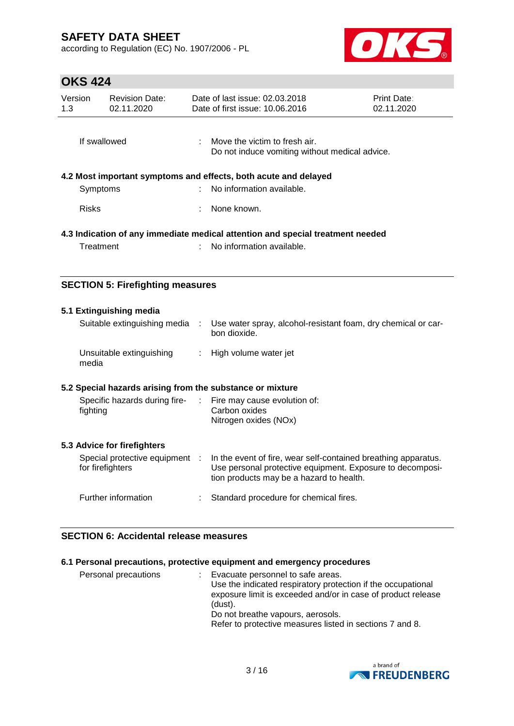according to Regulation (EC) No. 1907/2006 - PL



# **OKS 424**

| Version<br>1.3                                                                 | <b>Revision Date:</b><br>02.11.2020                             |  | Date of last issue: 02.03.2018<br>Date of first issue: 10.06.2016               | <b>Print Date:</b><br>02.11.2020 |  |
|--------------------------------------------------------------------------------|-----------------------------------------------------------------|--|---------------------------------------------------------------------------------|----------------------------------|--|
|                                                                                | If swallowed                                                    |  | Move the victim to fresh air.<br>Do not induce vomiting without medical advice. |                                  |  |
|                                                                                | 4.2 Most important symptoms and effects, both acute and delayed |  |                                                                                 |                                  |  |
|                                                                                | Symptoms                                                        |  | No information available.                                                       |                                  |  |
| <b>Risks</b>                                                                   |                                                                 |  | None known.                                                                     |                                  |  |
| 4.3 Indication of any immediate medical attention and special treatment needed |                                                                 |  |                                                                                 |                                  |  |
|                                                                                | Treatment                                                       |  | No information available.                                                       |                                  |  |
|                                                                                |                                                                 |  |                                                                                 |                                  |  |

### **SECTION 5: Firefighting measures**

| 5.1 Extinguishing media<br>Suitable extinguishing media                  | ÷ | Use water spray, alcohol-resistant foam, dry chemical or car-<br>bon dioxide.                                                                                           |
|--------------------------------------------------------------------------|---|-------------------------------------------------------------------------------------------------------------------------------------------------------------------------|
| Unsuitable extinguishing<br>media                                        |   | : High volume water jet                                                                                                                                                 |
| 5.2 Special hazards arising from the substance or mixture                |   |                                                                                                                                                                         |
| Specific hazards during fire- : Fire may cause evolution of:<br>fighting |   | Carbon oxides<br>Nitrogen oxides (NOx)                                                                                                                                  |
| 5.3 Advice for firefighters                                              |   |                                                                                                                                                                         |
| Special protective equipment :<br>for firefighters                       |   | In the event of fire, wear self-contained breathing apparatus.<br>Use personal protective equipment. Exposure to decomposi-<br>tion products may be a hazard to health. |
| Further information                                                      |   | Standard procedure for chemical fires.                                                                                                                                  |

### **SECTION 6: Accidental release measures**

### **6.1 Personal precautions, protective equipment and emergency procedures**

| Personal precautions |  | Evacuate personnel to safe areas.<br>Use the indicated respiratory protection if the occupational<br>exposure limit is exceeded and/or in case of product release<br>(dust).<br>Do not breathe vapours, aerosols.<br>Refer to protective measures listed in sections 7 and 8. |
|----------------------|--|-------------------------------------------------------------------------------------------------------------------------------------------------------------------------------------------------------------------------------------------------------------------------------|
|----------------------|--|-------------------------------------------------------------------------------------------------------------------------------------------------------------------------------------------------------------------------------------------------------------------------------|

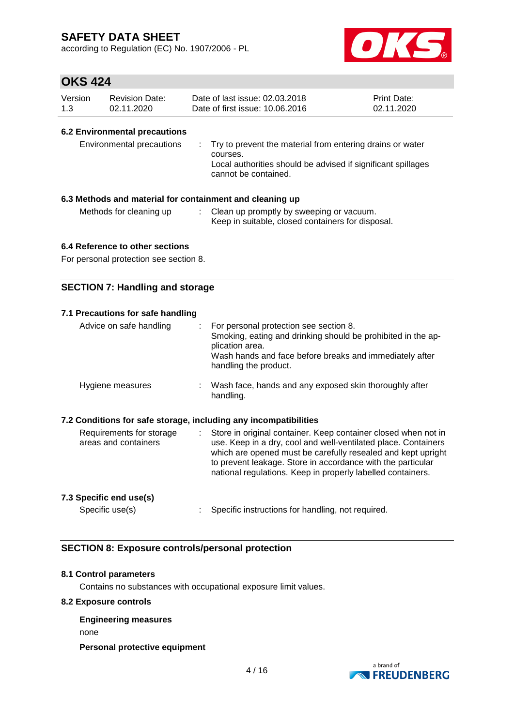according to Regulation (EC) No. 1907/2006 - PL



# **OKS 424**

| Version | <b>Revision Date:</b> | Date of last issue: 02.03.2018  | <b>Print Date:</b> |
|---------|-----------------------|---------------------------------|--------------------|
| 1.3     | 02.11.2020            | Date of first issue: 10.06.2016 | 02.11.2020         |

#### **6.2 Environmental precautions**

| courses.<br>cannot be contained. | Environmental precautions | : Try to prevent the material from entering drains or water<br>Local authorities should be advised if significant spillages |
|----------------------------------|---------------------------|-----------------------------------------------------------------------------------------------------------------------------|
|----------------------------------|---------------------------|-----------------------------------------------------------------------------------------------------------------------------|

#### **6.3 Methods and material for containment and cleaning up**

Methods for cleaning up : Clean up promptly by sweeping or vacuum. Keep in suitable, closed containers for disposal.

### **6.4 Reference to other sections**

For personal protection see section 8.

### **SECTION 7: Handling and storage**

| 7.1 Precautions for safe handling                                |                                                                                                                                                                                                                                                                                                                                                               |
|------------------------------------------------------------------|---------------------------------------------------------------------------------------------------------------------------------------------------------------------------------------------------------------------------------------------------------------------------------------------------------------------------------------------------------------|
| Advice on safe handling                                          | For personal protection see section 8.<br>÷.<br>Smoking, eating and drinking should be prohibited in the ap-<br>plication area.<br>Wash hands and face before breaks and immediately after<br>handling the product.                                                                                                                                           |
| Hygiene measures                                                 | : Wash face, hands and any exposed skin thoroughly after<br>handling.                                                                                                                                                                                                                                                                                         |
| 7.2 Conditions for safe storage, including any incompatibilities |                                                                                                                                                                                                                                                                                                                                                               |
| Requirements for storage<br>areas and containers                 | Store in original container. Keep container closed when not in<br>$\mathcal{L}^{\mathcal{L}}$<br>use. Keep in a dry, cool and well-ventilated place. Containers<br>which are opened must be carefully resealed and kept upright<br>to prevent leakage. Store in accordance with the particular<br>national regulations. Keep in properly labelled containers. |
| 7.3 Specific end use(s)                                          |                                                                                                                                                                                                                                                                                                                                                               |

Specific use(s) : Specific instructions for handling, not required.

### **SECTION 8: Exposure controls/personal protection**

#### **8.1 Control parameters**

Contains no substances with occupational exposure limit values.

#### **8.2 Exposure controls**

### **Engineering measures** none

#### **Personal protective equipment**

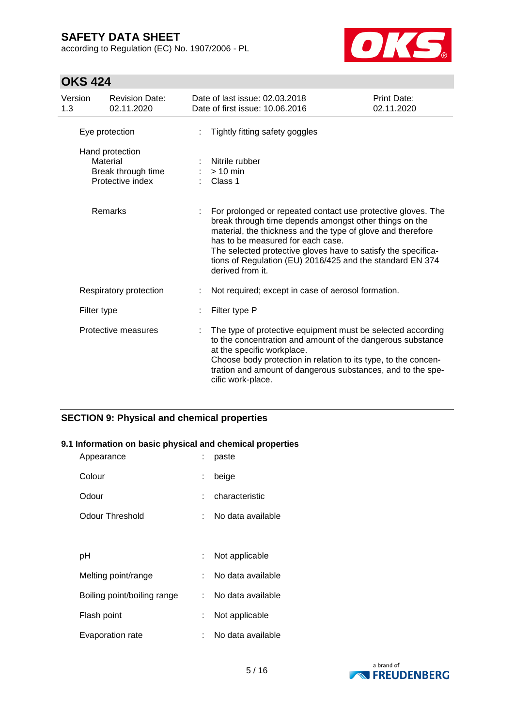according to Regulation (EC) No. 1907/2006 - PL



# **OKS 424**

| Version<br>1.3 | <b>Revision Date:</b><br>02.11.2020                                   |                       | Date of last issue: 02.03.2018<br>Date of first issue: 10.06.2016                                                                                                                                                                                                                                                                                                            | Print Date:<br>02.11.2020 |
|----------------|-----------------------------------------------------------------------|-----------------------|------------------------------------------------------------------------------------------------------------------------------------------------------------------------------------------------------------------------------------------------------------------------------------------------------------------------------------------------------------------------------|---------------------------|
|                | Eye protection                                                        |                       | Tightly fitting safety goggles                                                                                                                                                                                                                                                                                                                                               |                           |
|                | Hand protection<br>Material<br>Break through time<br>Protective index | $> 10$ min<br>Class 1 | Nitrile rubber                                                                                                                                                                                                                                                                                                                                                               |                           |
|                | Remarks                                                               |                       | For prolonged or repeated contact use protective gloves. The<br>break through time depends amongst other things on the<br>material, the thickness and the type of glove and therefore<br>has to be measured for each case.<br>The selected protective gloves have to satisfy the specifica-<br>tions of Regulation (EU) 2016/425 and the standard EN 374<br>derived from it. |                           |
|                | Respiratory protection                                                | ÷                     | Not required; except in case of aerosol formation.                                                                                                                                                                                                                                                                                                                           |                           |
|                | Filter type                                                           |                       | Filter type P                                                                                                                                                                                                                                                                                                                                                                |                           |
|                | Protective measures                                                   |                       | The type of protective equipment must be selected according<br>to the concentration and amount of the dangerous substance<br>at the specific workplace.<br>Choose body protection in relation to its type, to the concen-<br>tration and amount of dangerous substances, and to the spe-<br>cific work-place.                                                                |                           |

### **SECTION 9: Physical and chemical properties**

#### **9.1 Information on basic physical and chemical properties**

| Appearance                  |    | paste             |
|-----------------------------|----|-------------------|
| Colour                      | t. | beige             |
| Odour                       |    | characteristic    |
| Odour Threshold             |    | No data available |
|                             |    |                   |
| рH                          |    | Not applicable    |
| Melting point/range         |    | No data available |
| Boiling point/boiling range |    | No data available |
| Flash point                 |    | Not applicable    |
| Evaporation rate            |    | No data available |

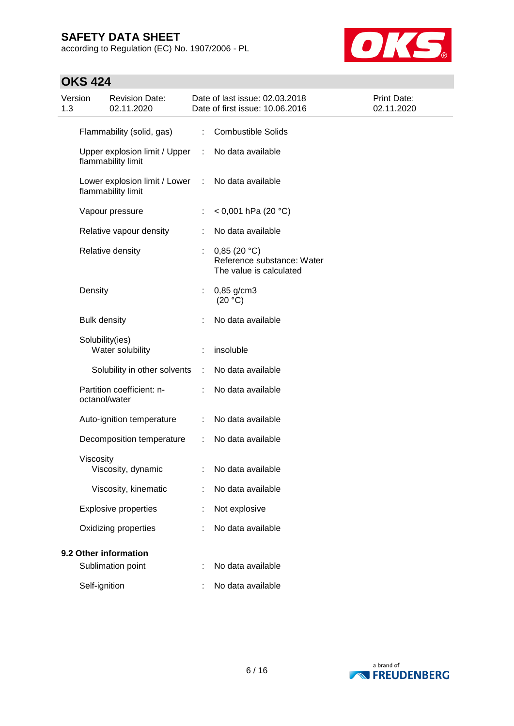according to Regulation (EC) No. 1907/2006 - PL



# **OKS 424**

| Version<br>1.3 |                     | <b>Revision Date:</b><br>02.11.2020                 |   | Date of last issue: 02.03.2018<br>Date of first issue: 10.06.2016    | <b>Print Date:</b><br>02.11.2020 |
|----------------|---------------------|-----------------------------------------------------|---|----------------------------------------------------------------------|----------------------------------|
|                |                     | Flammability (solid, gas)                           | ÷ | <b>Combustible Solids</b>                                            |                                  |
|                |                     | Upper explosion limit / Upper<br>flammability limit | ÷ | No data available                                                    |                                  |
|                |                     | Lower explosion limit / Lower<br>flammability limit | ÷ | No data available                                                    |                                  |
|                |                     | Vapour pressure                                     | ÷ | < 0,001 hPa (20 °C)                                                  |                                  |
|                |                     | Relative vapour density                             |   | No data available                                                    |                                  |
|                |                     | Relative density                                    |   | 0,85(20 °C)<br>Reference substance: Water<br>The value is calculated |                                  |
|                | Density             |                                                     | ÷ | 0,85 g/cm3<br>(20 °C)                                                |                                  |
|                | <b>Bulk density</b> |                                                     |   | No data available                                                    |                                  |
|                | Solubility(ies)     | Water solubility                                    |   | insoluble                                                            |                                  |
|                |                     | Solubility in other solvents                        | ÷ | No data available                                                    |                                  |
|                | octanol/water       | Partition coefficient: n-                           |   | No data available                                                    |                                  |
|                |                     | Auto-ignition temperature                           | ÷ | No data available                                                    |                                  |
|                |                     | Decomposition temperature                           | ÷ | No data available                                                    |                                  |
|                | Viscosity           | Viscosity, dynamic                                  |   | No data available                                                    |                                  |
|                |                     | Viscosity, kinematic                                |   | No data available                                                    |                                  |
|                |                     | <b>Explosive properties</b>                         |   | Not explosive                                                        |                                  |
|                |                     | Oxidizing properties                                |   | No data available                                                    |                                  |
|                |                     | 9.2 Other information                               |   |                                                                      |                                  |
|                |                     | Sublimation point                                   |   | No data available                                                    |                                  |
|                | Self-ignition       |                                                     |   | No data available                                                    |                                  |

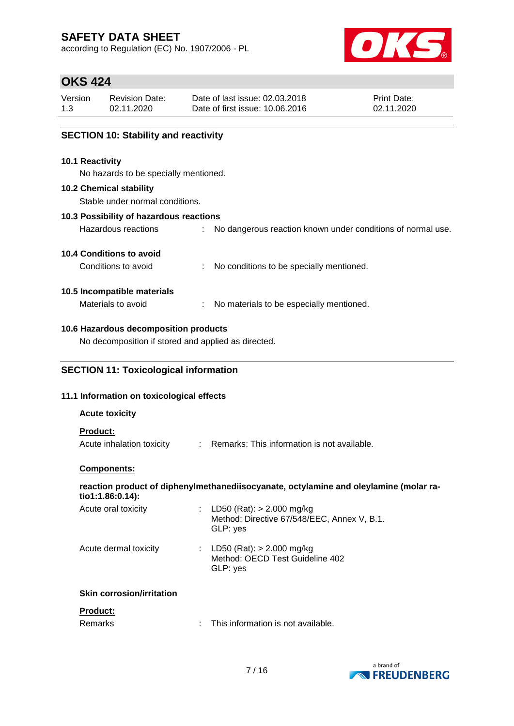according to Regulation (EC) No. 1907/2006 - PL



# **OKS 424**

| Version | <b>Revision Date:</b> | Date of last issue: 02.03.2018  | <b>Print Date:</b> |
|---------|-----------------------|---------------------------------|--------------------|
| 1.3     | 02.11.2020            | Date of first issue: 10.06.2016 | 02.11.2020         |

### **SECTION 10: Stability and reactivity**

#### **10.1 Reactivity**

No hazards to be specially mentioned.

#### **10.2 Chemical stability**

Stable under normal conditions.

### **10.3 Possibility of hazardous reactions**

| Hazardous reactions |  |  |  |  |  | No dangerous reaction known under conditions of normal use. |  |  |
|---------------------|--|--|--|--|--|-------------------------------------------------------------|--|--|
|---------------------|--|--|--|--|--|-------------------------------------------------------------|--|--|

### **10.4 Conditions to avoid**

Conditions to avoid : No conditions to be specially mentioned.

### **10.5 Incompatible materials**

Materials to avoid : No materials to be especially mentioned.

### **10.6 Hazardous decomposition products**

No decomposition if stored and applied as directed.

### **SECTION 11: Toxicological information**

### **11.1 Information on toxicological effects**

#### **Acute toxicity**

#### **Product:**

Acute inhalation toxicity : Remarks: This information is not available.

#### **Components:**

**reaction product of diphenylmethanediisocyanate, octylamine and oleylamine (molar ratio1:1.86:0.14):**

| Acute oral toxicity   | : LD50 (Rat): $> 2.000$ mg/kg<br>Method: Directive 67/548/EEC, Annex V, B.1.<br>GLP: yes |
|-----------------------|------------------------------------------------------------------------------------------|
| Acute dermal toxicity | : LD50 (Rat): $> 2.000$ mg/kg<br>Method: OECD Test Guideline 402<br>GLP: yes             |

### **Skin corrosion/irritation**

#### **Product:**

| Remarks | This information is not available. |
|---------|------------------------------------|
|---------|------------------------------------|

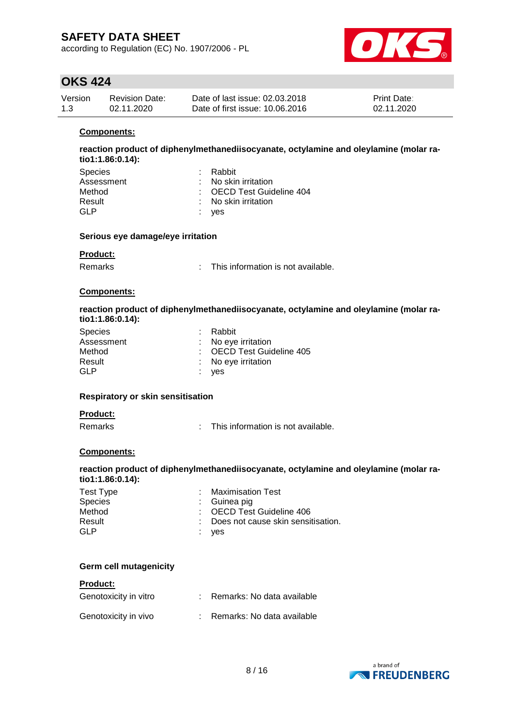according to Regulation (EC) No. 1907/2006 - PL



# **OKS 424**

| Version | <b>Revision Date:</b> | Date of last issue: 02.03.2018  | <b>Print Date:</b> |
|---------|-----------------------|---------------------------------|--------------------|
| 1.3     | 02.11.2020            | Date of first issue: 10.06.2016 | 02.11.2020         |

#### **Components:**

**reaction product of diphenylmethanediisocyanate, octylamine and oleylamine (molar ratio1:1.86:0.14):**

| <b>Species</b> | : Rabbit                  |
|----------------|---------------------------|
| Assessment     | : No skin irritation      |
| Method         | : OECD Test Guideline 404 |
| Result         | : No skin irritation      |
| GLP            | : yes                     |

#### **Serious eye damage/eye irritation**

#### **Product:**

Remarks : This information is not available.

#### **Components:**

#### **reaction product of diphenylmethanediisocyanate, octylamine and oleylamine (molar ratio1:1.86:0.14):**

| <b>Species</b> | : Rabbit            |                           |
|----------------|---------------------|---------------------------|
| Assessment     | : No eye irritation |                           |
| Method         |                     | : OECD Test Guideline 405 |
| Result         | : No eye irritation |                           |
| GLP            | : yes               |                           |

#### **Respiratory or skin sensitisation**

#### **Product:**

Remarks : This information is not available.

#### **Components:**

#### **reaction product of diphenylmethanediisocyanate, octylamine and oleylamine (molar ratio1:1.86:0.14):**

| Test Type      | : Maximisation Test                  |
|----------------|--------------------------------------|
| <b>Species</b> | $\therefore$ Guinea pig              |
| Method         | : OECD Test Guideline 406            |
| Result         | : Does not cause skin sensitisation. |
| GLP            | : yes                                |

#### **Germ cell mutagenicity**

#### **Product:**

| Genotoxicity in vitro | : Remarks: No data available |
|-----------------------|------------------------------|
| Genotoxicity in vivo  | : Remarks: No data available |

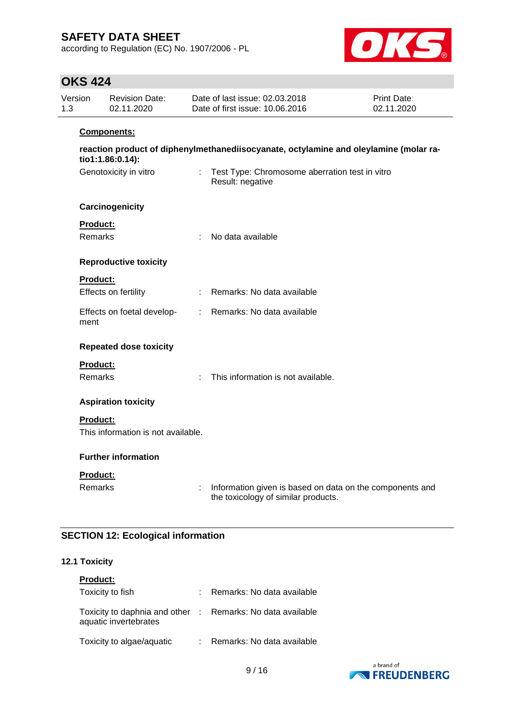according to Regulation (EC) No. 1907/2006 - PL



# **OKS 424**

| 1.3 | Version                    | <b>Revision Date:</b><br>02.11.2020 |                           | Date of last issue: 02.03.2018<br>Date of first issue: 10.06.2016                               | Print Date:<br>02.11.2020 |
|-----|----------------------------|-------------------------------------|---------------------------|-------------------------------------------------------------------------------------------------|---------------------------|
|     | Components:                |                                     |                           |                                                                                                 |                           |
|     |                            | tio1:1.86:0.14):                    |                           | reaction product of diphenylmethanediisocyanate, octylamine and oleylamine (molar ra-           |                           |
|     |                            | Genotoxicity in vitro               |                           | : Test Type: Chromosome aberration test in vitro<br>Result: negative                            |                           |
|     |                            | Carcinogenicity                     |                           |                                                                                                 |                           |
|     | Product:                   |                                     |                           |                                                                                                 |                           |
|     | <b>Remarks</b>             |                                     | ÷                         | No data available                                                                               |                           |
|     |                            | <b>Reproductive toxicity</b>        |                           |                                                                                                 |                           |
|     | <b>Product:</b>            |                                     |                           |                                                                                                 |                           |
|     |                            | Effects on fertility                |                           | Remarks: No data available                                                                      |                           |
|     | ment                       | Effects on foetal develop-          | $\mathbb{R}^{\mathbb{Z}}$ | Remarks: No data available                                                                      |                           |
|     |                            | <b>Repeated dose toxicity</b>       |                           |                                                                                                 |                           |
|     | <b>Product:</b>            |                                     |                           |                                                                                                 |                           |
|     | <b>Remarks</b>             |                                     |                           | This information is not available.                                                              |                           |
|     |                            | <b>Aspiration toxicity</b>          |                           |                                                                                                 |                           |
|     | Product:                   |                                     |                           |                                                                                                 |                           |
|     |                            | This information is not available.  |                           |                                                                                                 |                           |
|     | <b>Further information</b> |                                     |                           |                                                                                                 |                           |
|     | Product:                   |                                     |                           |                                                                                                 |                           |
|     | Remarks                    |                                     | ÷                         | Information given is based on data on the components and<br>the toxicology of similar products. |                           |

### **SECTION 12: Ecological information**

### **12.1 Toxicity**

| <b>Product:</b>                                                                     |                              |
|-------------------------------------------------------------------------------------|------------------------------|
| Toxicity to fish                                                                    | : Remarks: No data available |
| Toxicity to daphnia and other : Remarks: No data available<br>aquatic invertebrates |                              |
| Toxicity to algae/aquatic                                                           | : Remarks: No data available |

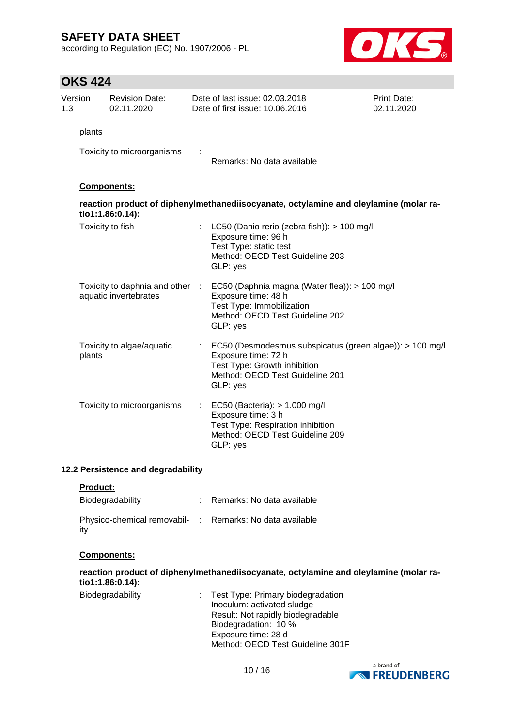according to Regulation (EC) No. 1907/2006 - PL



# **OKS 424**

| Version<br>1.3 | <b>Revision Date:</b><br>02.11.2020                      |                           | Date of last issue: 02.03.2018<br>Date of first issue: 10.06.2016                                                                                              | <b>Print Date:</b><br>02.11.2020 |
|----------------|----------------------------------------------------------|---------------------------|----------------------------------------------------------------------------------------------------------------------------------------------------------------|----------------------------------|
| plants         | Toxicity to microorganisms                               |                           | Remarks: No data available                                                                                                                                     |                                  |
|                | <b>Components:</b>                                       |                           |                                                                                                                                                                |                                  |
|                | tio1:1.86:0.14):                                         |                           | reaction product of diphenylmethanediisocyanate, octylamine and oleylamine (molar ra-                                                                          |                                  |
|                | Toxicity to fish                                         |                           | LC50 (Danio rerio (zebra fish)): > 100 mg/l<br>Exposure time: 96 h<br>Test Type: static test<br>Method: OECD Test Guideline 203<br>GLP: yes                    |                                  |
|                | Toxicity to daphnia and other :<br>aquatic invertebrates |                           | EC50 (Daphnia magna (Water flea)): > 100 mg/l<br>Exposure time: 48 h<br>Test Type: Immobilization<br>Method: OECD Test Guideline 202<br>GLP: yes               |                                  |
| plants         | Toxicity to algae/aquatic                                |                           | EC50 (Desmodesmus subspicatus (green algae)): > 100 mg/l<br>Exposure time: 72 h<br>Test Type: Growth inhibition<br>Method: OECD Test Guideline 201<br>GLP: yes |                                  |
|                | Toxicity to microorganisms                               | $\mathbb{Z}^{\mathbb{Z}}$ | EC50 (Bacteria): > 1.000 mg/l<br>Exposure time: 3 h<br>Test Type: Respiration inhibition<br>Method: OECD Test Guideline 209<br>GLP: yes                        |                                  |

#### **12.2 Persistence and degradability**

| Product: |
|----------|
|----------|

| Biodegradability                                                | : Remarks: No data available |
|-----------------------------------------------------------------|------------------------------|
| Physico-chemical removabil- : Remarks: No data available<br>ity |                              |

#### **Components:**

**reaction product of diphenylmethanediisocyanate, octylamine and oleylamine (molar ratio1:1.86:0.14):**

| : Test Type: Primary biodegradation |
|-------------------------------------|
| Inoculum: activated sludge          |
| Result: Not rapidly biodegradable   |
| Biodegradation: 10 %                |
| Exposure time: 28 d                 |
| Method: OECD Test Guideline 301F    |
|                                     |

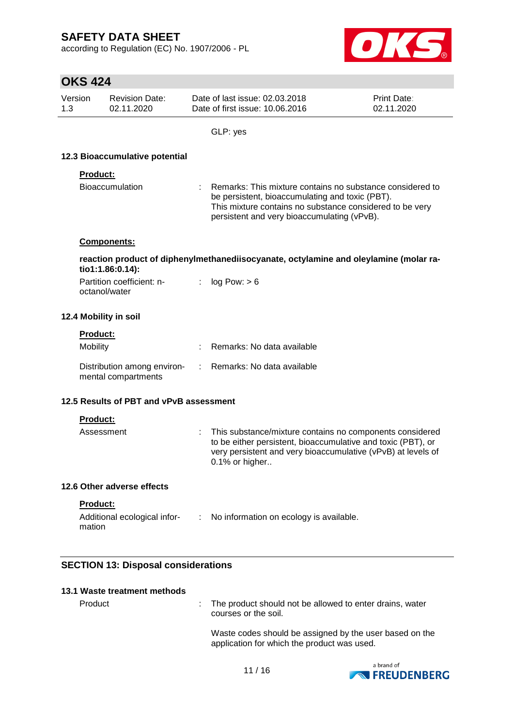according to Regulation (EC) No. 1907/2006 - PL



# **OKS 424**

| Version | <b>Revision Date:</b> | Date of last issue: 02.03.2018  | <b>Print Date:</b> |
|---------|-----------------------|---------------------------------|--------------------|
| 1.3     | 02.11.2020            | Date of first issue: 10.06.2016 | 02.11.2020         |

GLP: yes

### **12.3 Bioaccumulative potential**

#### **Product:**

| Bioaccumulation | : Remarks: This mixture contains no substance considered to |
|-----------------|-------------------------------------------------------------|
|                 | be persistent, bioaccumulating and toxic (PBT).             |
|                 | This mixture contains no substance considered to be very    |
|                 | persistent and very bioaccumulating (vPvB).                 |

#### **Components:**

**reaction product of diphenylmethanediisocyanate, octylamine and oleylamine (molar ratio1:1.86:0.14):**

| Partition coefficient: n- | log Pow: > 6 |
|---------------------------|--------------|
| octanol/water             |              |

#### **12.4 Mobility in soil**

|  | <b>Product:</b> |  |
|--|-----------------|--|
|  |                 |  |

| <b>Mobility</b>                                                                 | Remarks: No data available |
|---------------------------------------------------------------------------------|----------------------------|
| Distribution among environ- : Remarks: No data available<br>mental compartments |                            |

### **12.5 Results of PBT and vPvB assessment**

### **Product:**

| Assessment | : This substance/mixture contains no components considered   |
|------------|--------------------------------------------------------------|
|            | to be either persistent, bioaccumulative and toxic (PBT), or |
|            | very persistent and very bioaccumulative (vPvB) at levels of |
|            | $0.1\%$ or higher                                            |

#### **12.6 Other adverse effects**

### **Product:**

| Additional ecological infor- | No information on ecology is available. |
|------------------------------|-----------------------------------------|
| mation                       |                                         |

### **SECTION 13: Disposal considerations**

| 13.1 Waste treatment methods |                                                                                                        |
|------------------------------|--------------------------------------------------------------------------------------------------------|
| Product                      | : The product should not be allowed to enter drains, water<br>courses or the soil.                     |
|                              | Waste codes should be assigned by the user based on the<br>application for which the product was used. |

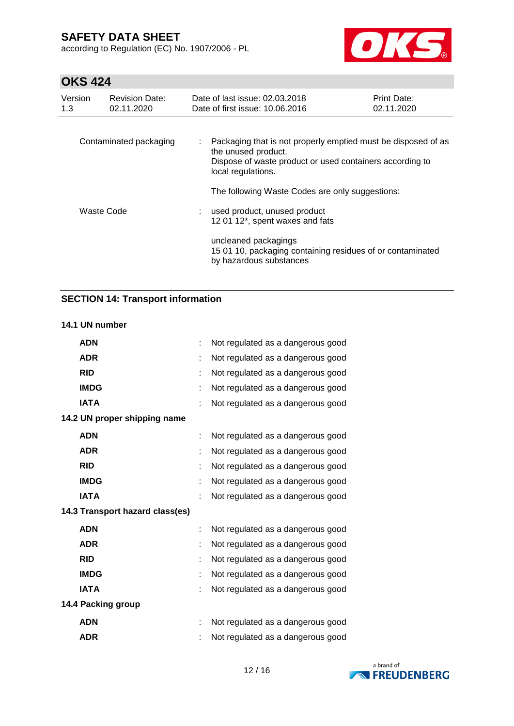according to Regulation (EC) No. 1907/2006 - PL



# **OKS 424**

| Version<br>1.3         | <b>Revision Date:</b><br>02.11.2020 | Date of last issue: 02.03.2018<br>Date of first issue: 10.06.2016                                                                                                      | <b>Print Date:</b><br>02.11.2020 |  |  |
|------------------------|-------------------------------------|------------------------------------------------------------------------------------------------------------------------------------------------------------------------|----------------------------------|--|--|
| Contaminated packaging |                                     | Packaging that is not properly emptied must be disposed of as<br>the unused product.<br>Dispose of waste product or used containers according to<br>local regulations. |                                  |  |  |
|                        |                                     | The following Waste Codes are only suggestions:                                                                                                                        |                                  |  |  |
| Waste Code             |                                     | : used product, unused product<br>12 01 12*, spent waxes and fats                                                                                                      |                                  |  |  |
|                        |                                     | uncleaned packagings<br>15 01 10, packaging containing residues of or contaminated<br>by hazardous substances                                                          |                                  |  |  |

### **SECTION 14: Transport information**

#### **14.1 UN number**

| <b>ADN</b>                      | Not regulated as a dangerous good |
|---------------------------------|-----------------------------------|
| <b>ADR</b>                      | Not regulated as a dangerous good |
| <b>RID</b>                      | Not regulated as a dangerous good |
| <b>IMDG</b>                     | Not regulated as a dangerous good |
| <b>IATA</b>                     | Not regulated as a dangerous good |
| 14.2 UN proper shipping name    |                                   |
| <b>ADN</b>                      | Not regulated as a dangerous good |
| <b>ADR</b>                      | Not regulated as a dangerous good |
| <b>RID</b>                      | Not regulated as a dangerous good |
| <b>IMDG</b>                     | Not regulated as a dangerous good |
| <b>IATA</b>                     | Not regulated as a dangerous good |
| 14.3 Transport hazard class(es) |                                   |
| <b>ADN</b>                      | Not regulated as a dangerous good |
| <b>ADR</b>                      | Not regulated as a dangerous good |
| <b>RID</b>                      | Not regulated as a dangerous good |
| <b>IMDG</b>                     | Not regulated as a dangerous good |
| <b>IATA</b>                     | Not regulated as a dangerous good |
| 14.4 Packing group              |                                   |
| <b>ADN</b>                      | Not regulated as a dangerous good |
| <b>ADR</b>                      | Not regulated as a dangerous good |

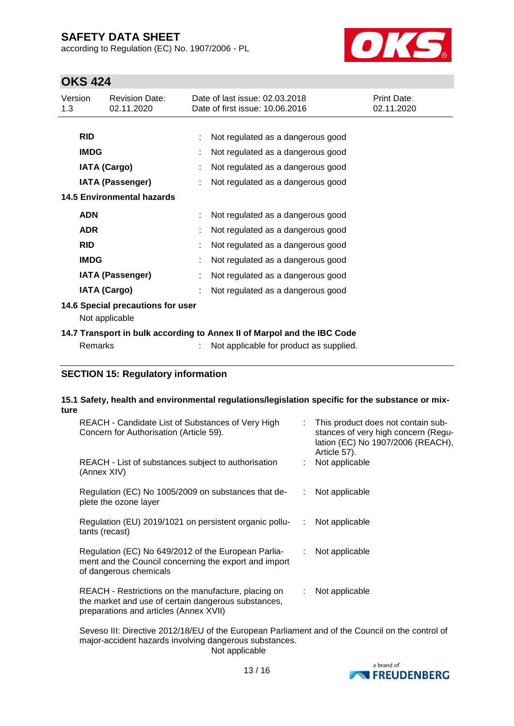according to Regulation (EC) No. 1907/2006 - PL



# **OKS 424**

| Version<br>1.3                                                          | <b>Revision Date:</b><br>02.11.2020 |  | Date of last issue: 02.03.2018<br>Date of first issue: 10.06.2016 | Print Date:<br>02.11.2020 |
|-------------------------------------------------------------------------|-------------------------------------|--|-------------------------------------------------------------------|---------------------------|
|                                                                         |                                     |  |                                                                   |                           |
| <b>RID</b>                                                              |                                     |  | Not regulated as a dangerous good                                 |                           |
|                                                                         | <b>IMDG</b>                         |  | Not regulated as a dangerous good                                 |                           |
|                                                                         | <b>IATA (Cargo)</b>                 |  | Not regulated as a dangerous good                                 |                           |
|                                                                         | <b>IATA (Passenger)</b>             |  | Not regulated as a dangerous good                                 |                           |
|                                                                         | <b>14.5 Environmental hazards</b>   |  |                                                                   |                           |
|                                                                         | <b>ADN</b>                          |  | Not regulated as a dangerous good                                 |                           |
|                                                                         | <b>ADR</b>                          |  | Not regulated as a dangerous good                                 |                           |
| <b>RID</b>                                                              |                                     |  | Not regulated as a dangerous good                                 |                           |
|                                                                         | <b>IMDG</b>                         |  | Not regulated as a dangerous good                                 |                           |
|                                                                         | <b>IATA (Passenger)</b>             |  | Not regulated as a dangerous good                                 |                           |
|                                                                         | <b>IATA (Cargo)</b>                 |  | Not regulated as a dangerous good                                 |                           |
| 14.6 Special precautions for user<br>Not applicable                     |                                     |  |                                                                   |                           |
| 14.7 Transport in bulk according to Annex II of Marpol and the IBC Code |                                     |  |                                                                   |                           |
|                                                                         | Remarks                             |  | Not applicable for product as supplied.                           |                           |

### **SECTION 15: Regulatory information**

# **15.1 Safety, health and environmental regulations/legislation specific for the substance or mixture**

| REACH - Candidate List of Substances of Very High<br>Concern for Authorisation (Article 59).                                                         |    | : This product does not contain sub-<br>stances of very high concern (Regu-<br>lation (EC) No 1907/2006 (REACH),<br>Article 57). |
|------------------------------------------------------------------------------------------------------------------------------------------------------|----|----------------------------------------------------------------------------------------------------------------------------------|
| REACH - List of substances subject to authorisation<br>(Annex XIV)                                                                                   |    | : Not applicable                                                                                                                 |
| Regulation (EC) No 1005/2009 on substances that de-<br>plete the ozone layer                                                                         | ÷. | Not applicable                                                                                                                   |
| Regulation (EU) 2019/1021 on persistent organic pollu-<br>tants (recast)                                                                             | ÷  | Not applicable                                                                                                                   |
| Regulation (EC) No 649/2012 of the European Parlia-<br>ment and the Council concerning the export and import<br>of dangerous chemicals               | t. | Not applicable                                                                                                                   |
| REACH - Restrictions on the manufacture, placing on<br>the market and use of certain dangerous substances,<br>preparations and articles (Annex XVII) |    | Not applicable                                                                                                                   |

Seveso III: Directive 2012/18/EU of the European Parliament and of the Council on the control of major-accident hazards involving dangerous substances. Not applicable

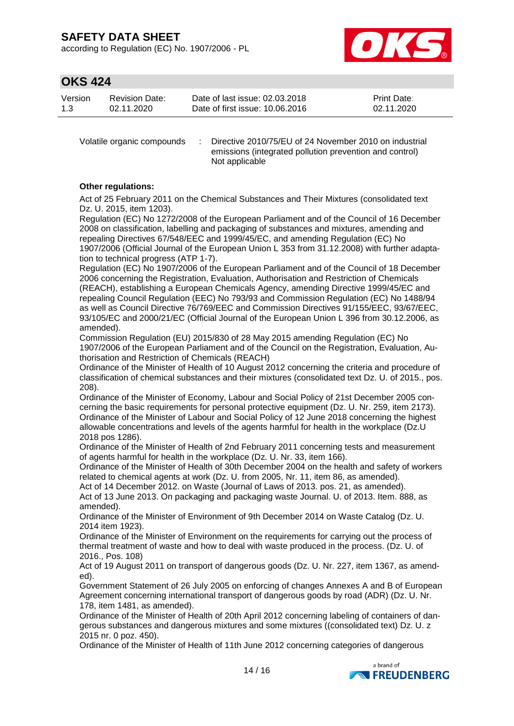according to Regulation (EC) No. 1907/2006 - PL



# **OKS 424**

| Version | <b>Revision Date:</b> | Date of last issue: 02.03.2018  | <b>Print Date:</b> |
|---------|-----------------------|---------------------------------|--------------------|
| 1.3     | 02.11.2020            | Date of first issue: 10.06.2016 | 02.11.2020         |

Volatile organic compounds : Directive 2010/75/EU of 24 November 2010 on industrial emissions (integrated pollution prevention and control) Not applicable

### **Other regulations:**

Act of 25 February 2011 on the Chemical Substances and Their Mixtures (consolidated text Dz. U. 2015, item 1203).

Regulation (EC) No 1272/2008 of the European Parliament and of the Council of 16 December 2008 on classification, labelling and packaging of substances and mixtures, amending and repealing Directives 67/548/EEC and 1999/45/EC, and amending Regulation (EC) No 1907/2006 (Official Journal of the European Union L 353 from 31.12.2008) with further adaptation to technical progress (ATP 1-7).

Regulation (EC) No 1907/2006 of the European Parliament and of the Council of 18 December 2006 concerning the Registration, Evaluation, Authorisation and Restriction of Chemicals (REACH), establishing a European Chemicals Agency, amending Directive 1999/45/EC and repealing Council Regulation (EEC) No 793/93 and Commission Regulation (EC) No 1488/94 as well as Council Directive 76/769/EEC and Commission Directives 91/155/EEC, 93/67/EEC, 93/105/EC and 2000/21/EC (Official Journal of the European Union L 396 from 30.12.2006, as amended).

Commission Regulation (EU) 2015/830 of 28 May 2015 amending Regulation (EC) No 1907/2006 of the European Parliament and of the Council on the Registration, Evaluation, Authorisation and Restriction of Chemicals (REACH)

Ordinance of the Minister of Health of 10 August 2012 concerning the criteria and procedure of classification of chemical substances and their mixtures (consolidated text Dz. U. of 2015., pos. 208).

Ordinance of the Minister of Economy, Labour and Social Policy of 21st December 2005 concerning the basic requirements for personal protective equipment (Dz. U. Nr. 259, item 2173). Ordinance of the Minister of Labour and Social Policy of 12 June 2018 concerning the highest allowable concentrations and levels of the agents harmful for health in the workplace (Dz.U 2018 pos 1286).

Ordinance of the Minister of Health of 2nd February 2011 concerning tests and measurement of agents harmful for health in the workplace (Dz. U. Nr. 33, item 166).

Ordinance of the Minister of Health of 30th December 2004 on the health and safety of workers related to chemical agents at work (Dz. U. from 2005, Nr. 11, item 86, as amended).

Act of 14 December 2012. on Waste (Journal of Laws of 2013. pos. 21, as amended). Act of 13 June 2013. On packaging and packaging waste Journal. U. of 2013. Item. 888, as amended).

Ordinance of the Minister of Environment of 9th December 2014 on Waste Catalog (Dz. U. 2014 item 1923).

Ordinance of the Minister of Environment on the requirements for carrying out the process of thermal treatment of waste and how to deal with waste produced in the process. (Dz. U. of 2016., Pos. 108)

Act of 19 August 2011 on transport of dangerous goods (Dz. U. Nr. 227, item 1367, as amended).

Government Statement of 26 July 2005 on enforcing of changes Annexes A and B of European Agreement concerning international transport of dangerous goods by road (ADR) (Dz. U. Nr. 178, item 1481, as amended).

Ordinance of the Minister of Health of 20th April 2012 concerning labeling of containers of dangerous substances and dangerous mixtures and some mixtures ((consolidated text) Dz. U. z 2015 nr. 0 poz. 450).

Ordinance of the Minister of Health of 11th June 2012 concerning categories of dangerous

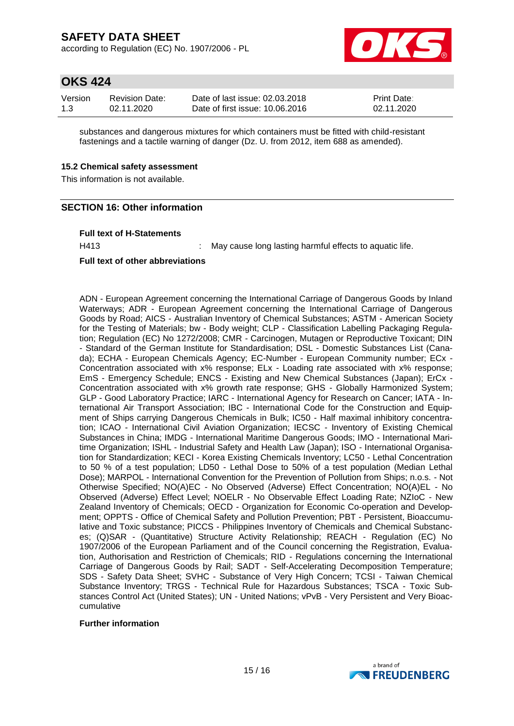according to Regulation (EC) No. 1907/2006 - PL



### **OKS 424**

| Version | <b>Revision Date:</b> | Date of last issue: 02.03.2018  | <b>Print Date:</b> |
|---------|-----------------------|---------------------------------|--------------------|
| 1.3     | 02.11.2020            | Date of first issue: 10.06.2016 | 02.11.2020         |

substances and dangerous mixtures for which containers must be fitted with child-resistant fastenings and a tactile warning of danger (Dz. U. from 2012, item 688 as amended).

#### **15.2 Chemical safety assessment**

This information is not available.

#### **SECTION 16: Other information**

#### **Full text of H-Statements**

H413 : May cause long lasting harmful effects to aquatic life.

#### **Full text of other abbreviations**

ADN - European Agreement concerning the International Carriage of Dangerous Goods by Inland Waterways; ADR - European Agreement concerning the International Carriage of Dangerous Goods by Road; AICS - Australian Inventory of Chemical Substances; ASTM - American Society for the Testing of Materials; bw - Body weight; CLP - Classification Labelling Packaging Regulation; Regulation (EC) No 1272/2008; CMR - Carcinogen, Mutagen or Reproductive Toxicant; DIN - Standard of the German Institute for Standardisation; DSL - Domestic Substances List (Canada); ECHA - European Chemicals Agency; EC-Number - European Community number; ECx - Concentration associated with x% response; ELx - Loading rate associated with x% response; EmS - Emergency Schedule; ENCS - Existing and New Chemical Substances (Japan); ErCx - Concentration associated with x% growth rate response; GHS - Globally Harmonized System; GLP - Good Laboratory Practice; IARC - International Agency for Research on Cancer; IATA - International Air Transport Association; IBC - International Code for the Construction and Equipment of Ships carrying Dangerous Chemicals in Bulk; IC50 - Half maximal inhibitory concentration; ICAO - International Civil Aviation Organization; IECSC - Inventory of Existing Chemical Substances in China; IMDG - International Maritime Dangerous Goods; IMO - International Maritime Organization; ISHL - Industrial Safety and Health Law (Japan); ISO - International Organisation for Standardization; KECI - Korea Existing Chemicals Inventory; LC50 - Lethal Concentration to 50 % of a test population; LD50 - Lethal Dose to 50% of a test population (Median Lethal Dose); MARPOL - International Convention for the Prevention of Pollution from Ships; n.o.s. - Not Otherwise Specified; NO(A)EC - No Observed (Adverse) Effect Concentration; NO(A)EL - No Observed (Adverse) Effect Level; NOELR - No Observable Effect Loading Rate; NZIoC - New Zealand Inventory of Chemicals; OECD - Organization for Economic Co-operation and Development; OPPTS - Office of Chemical Safety and Pollution Prevention; PBT - Persistent, Bioaccumulative and Toxic substance; PICCS - Philippines Inventory of Chemicals and Chemical Substances; (Q)SAR - (Quantitative) Structure Activity Relationship; REACH - Regulation (EC) No 1907/2006 of the European Parliament and of the Council concerning the Registration, Evaluation, Authorisation and Restriction of Chemicals; RID - Regulations concerning the International Carriage of Dangerous Goods by Rail; SADT - Self-Accelerating Decomposition Temperature; SDS - Safety Data Sheet; SVHC - Substance of Very High Concern; TCSI - Taiwan Chemical Substance Inventory; TRGS - Technical Rule for Hazardous Substances; TSCA - Toxic Substances Control Act (United States); UN - United Nations; vPvB - Very Persistent and Very Bioaccumulative

#### **Further information**